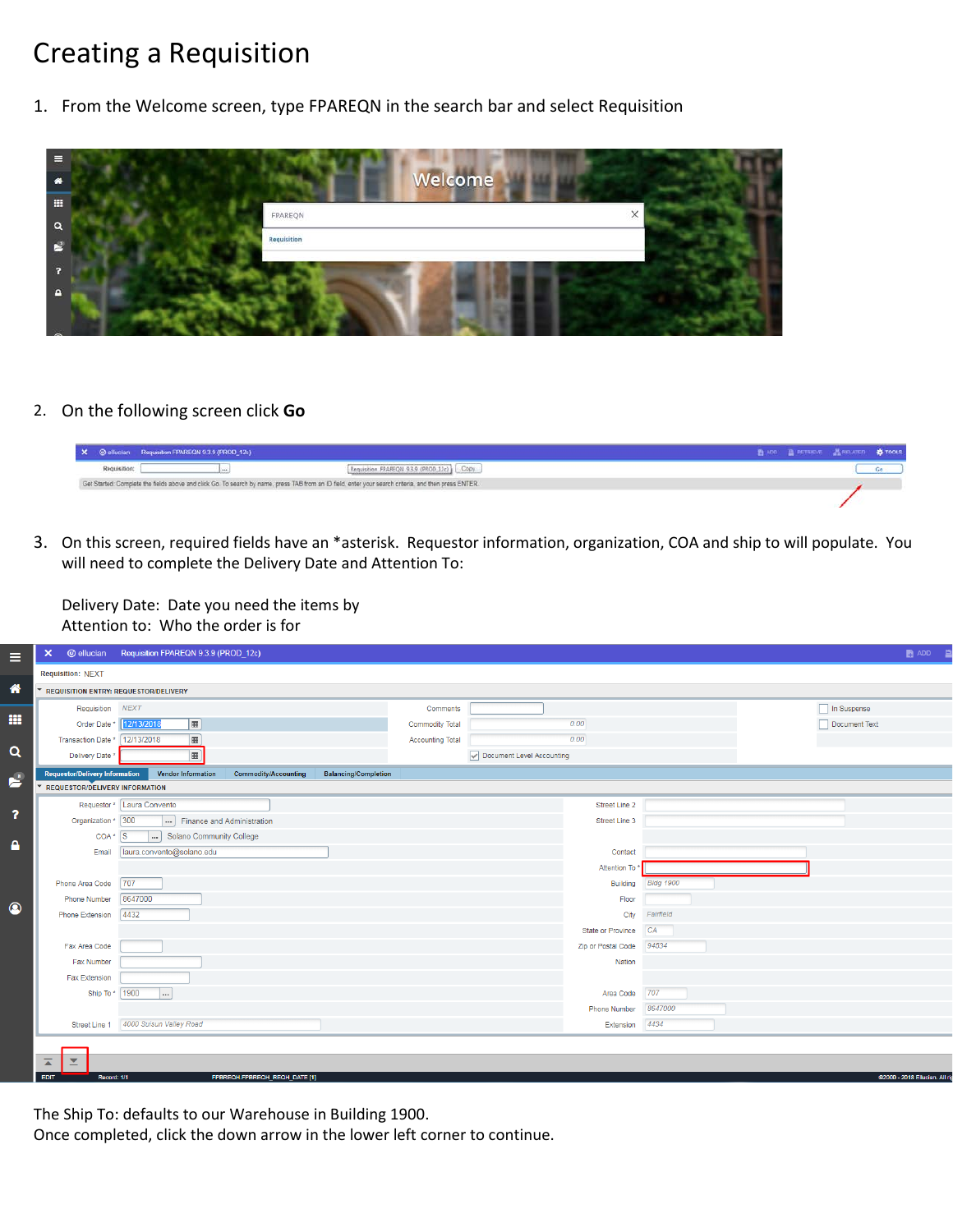## Creating a Requisition

1. From the Welcome screen, type FPAREQN in the search bar and select Requisition



2. On the following screen click **Go**

|              | X @ ellucian Requisition FFAREON 9.3.9 (PROD_12c)                                                                                                     | 图 ADO 图 RETRIEVE 晶 RELATED & TOOLS |  |
|--------------|-------------------------------------------------------------------------------------------------------------------------------------------------------|------------------------------------|--|
| Requisition: | Requisition FPAREQN 9.3.9 (PROD 12c) Copy                                                                                                             |                                    |  |
|              | Get Started: Complete the fields above and click Go. To search by name, press TAB from an ID field, enter your search criteria, and then press ENTER. |                                    |  |
|              |                                                                                                                                                       |                                    |  |

3. On this screen, required fields have an \*asterisk. Requestor information, organization, COA and ship to will populate. You will need to complete the Delivery Date and Attention To:

Delivery Date: Date you need the items by Attention to: Who the order is for

| $\boldsymbol{\times}$                   | @ ellucian Requisition FPAREQN 9.3.9 (PROD_12c)                                         |                         |                           |                  | $\bullet$ ADD $\bullet$ |
|-----------------------------------------|-----------------------------------------------------------------------------------------|-------------------------|---------------------------|------------------|-------------------------|
| <b>Requisition: NEXT</b>                |                                                                                         |                         |                           |                  |                         |
| ▼ REQUISITION ENTRY: REQUESTOR/DELIVERY |                                                                                         |                         |                           |                  |                         |
| Requisition                             | <b>NEXT</b>                                                                             | Comments                |                           |                  | In Suspense             |
|                                         | $\blacksquare$<br>Order Date * 12/13/2018                                               | <b>Commodity Total</b>  | 0.00                      |                  | Document Text           |
| Transaction Date * 12/13/2018           | E                                                                                       | <b>Accounting Total</b> | 0.00                      |                  |                         |
| Delivery Date *                         | E                                                                                       |                         | Document Level Accounting |                  |                         |
| <b>Requestor/Delivery Information</b>   | <b>Vendor Information</b><br><b>Commodity/Accounting</b><br><b>Balancing/Completion</b> |                         |                           |                  |                         |
| <b>REQUESTOR/DELIVERY INFORMATION</b>   |                                                                                         |                         |                           |                  |                         |
|                                         | Requestor * Laura Convento                                                              |                         | Street Line 2             |                  |                         |
| Organization * 300                      | $\vert  \vert$<br>Finance and Administration                                            |                         | Street Line 3             |                  |                         |
| $COA \times S$                          | Solano Community College                                                                |                         |                           |                  |                         |
| Email                                   | laura.convento@solano.edu                                                               |                         | Contact                   |                  |                         |
|                                         |                                                                                         |                         | Attention To*             |                  |                         |
| Phone Area Code                         | 707                                                                                     |                         | Building                  | <b>Bldg 1900</b> |                         |
| <b>Phone Number</b>                     | 8647000                                                                                 |                         | Floor                     |                  |                         |
| <b>Phone Extension</b>                  | 4432                                                                                    |                         | City                      | Fairfield        |                         |
|                                         |                                                                                         |                         | State or Province         | CA               |                         |
| Fax Area Code                           |                                                                                         |                         | Zip or Postal Code        | 94534            |                         |
| Fax Number                              |                                                                                         |                         | Nation                    |                  |                         |
| <b>Fax Extension</b>                    |                                                                                         |                         |                           |                  |                         |
| Ship To * 1900                          | $\vert \dots \vert$                                                                     |                         | Area Code                 | 707              |                         |
|                                         |                                                                                         |                         | <b>Phone Number</b>       | 8647000          |                         |
| Street Line 1                           | 4000 Suisun Valley Road                                                                 |                         | Extension                 | 4434             |                         |
|                                         |                                                                                         |                         |                           |                  |                         |
|                                         |                                                                                         |                         |                           |                  |                         |
|                                         |                                                                                         |                         |                           |                  |                         |

The Ship To: defaults to our Warehouse in Building 1900.

Once completed, click the down arrow in the lower left corner to continue.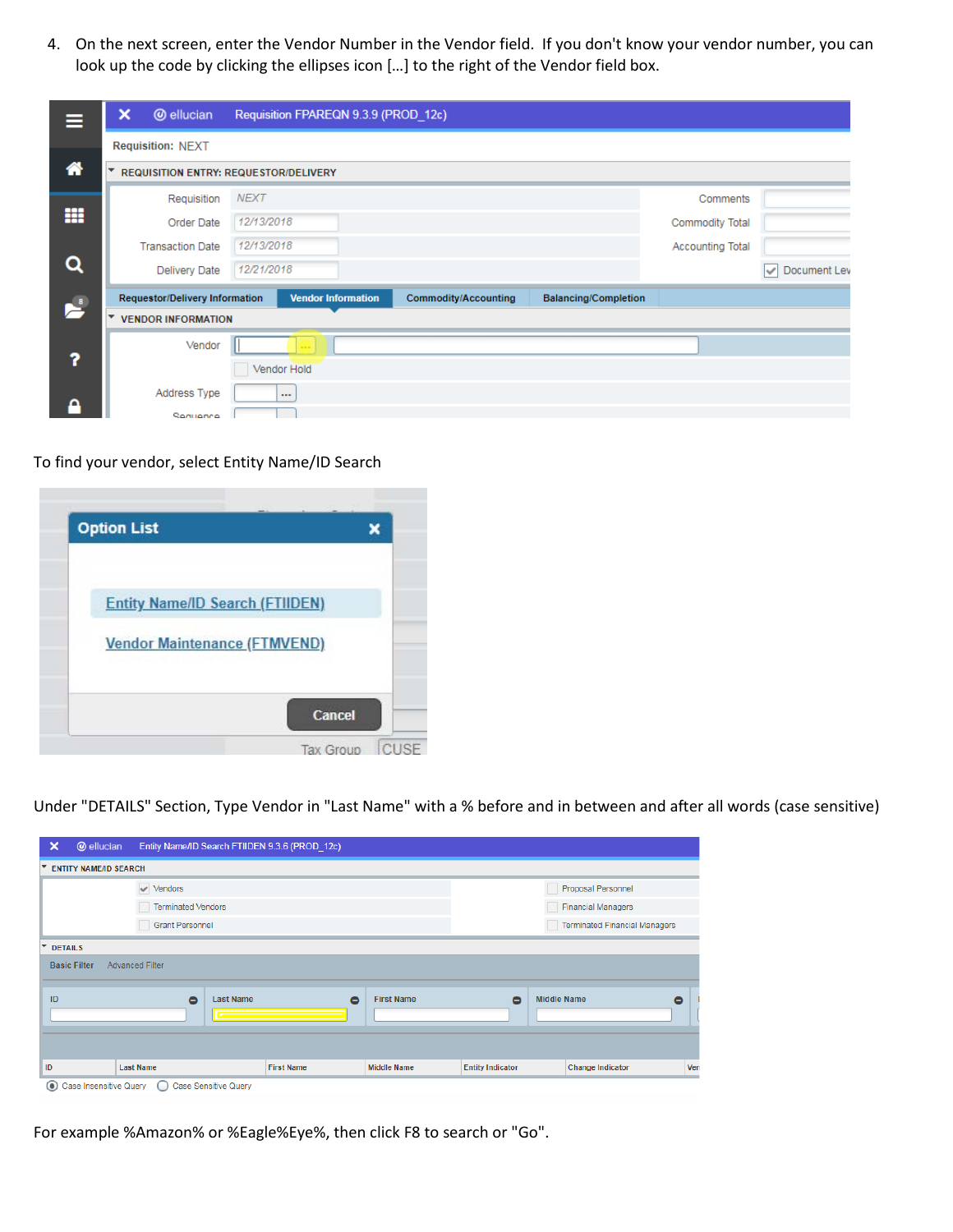4. On the next screen, enter the Vendor Number in the Vendor field. If you don't know your vendor number, you can look up the code by clicking the ellipses icon […] to the right of the Vendor field box.

| Ξ                     | ×                        | <b>@</b> ellucian                            |             | Requisition FPAREQN 9.3.9 (PROD_12c) |                             |                             |                         |                   |
|-----------------------|--------------------------|----------------------------------------------|-------------|--------------------------------------|-----------------------------|-----------------------------|-------------------------|-------------------|
|                       |                          | <b>Requisition: NEXT</b>                     |             |                                      |                             |                             |                         |                   |
|                       | $\overline{\phantom{a}}$ | <b>REQUISITION ENTRY: REQUESTOR/DELIVERY</b> |             |                                      |                             |                             |                         |                   |
|                       |                          | Requisition                                  | <b>NEXT</b> |                                      |                             |                             | Comments                |                   |
|                       |                          | Order Date                                   | 12/13/2018  |                                      |                             |                             | <b>Commodity Total</b>  |                   |
|                       |                          | <b>Transaction Date</b>                      | 12/13/2018  |                                      |                             |                             | <b>Accounting Total</b> |                   |
|                       |                          | Delivery Date                                | 12/21/2018  |                                      |                             |                             |                         | Document Lev<br>✓ |
| $\blacktriangleright$ |                          | <b>Requestor/Delivery Information</b>        |             | <b>Vendor Information</b>            | <b>Commodity/Accounting</b> | <b>Balancing/Completion</b> |                         |                   |
|                       | ▼                        | <b>VENDOR INFORMATION</b>                    |             |                                      |                             |                             |                         |                   |
|                       |                          | Vendor                                       |             |                                      |                             |                             |                         |                   |
|                       |                          |                                              | Vendor Hold |                                      |                             |                             |                         |                   |
|                       |                          | Address Type                                 | $\cdots$    |                                      |                             |                             |                         |                   |
|                       |                          | Seguence                                     |             |                                      |                             |                             |                         |                   |

To find your vendor, select Entity Name/ID Search



Under "DETAILS" Section, Type Vendor in "Last Name" with a % before and in between and after all words (case sensitive)

| ×       | <b>@</b> ellucian                                              |                               |                      | Entity Name/ID Search FTIIDEN 9.3.6 (PROD 12c) |                    |                           |                    |                         |     |  |
|---------|----------------------------------------------------------------|-------------------------------|----------------------|------------------------------------------------|--------------------|---------------------------|--------------------|-------------------------|-----|--|
|         | <b>ENTITY NAME/ID SEARCH</b>                                   |                               |                      |                                                |                    |                           |                    |                         |     |  |
|         |                                                                | $\blacktriangleright$ Vendors |                      |                                                |                    |                           |                    | Proposal Personnel      |     |  |
|         |                                                                | <b>Terminated Vendors</b>     |                      |                                                |                    | <b>Financial Managers</b> |                    |                         |     |  |
|         | <b>Grant Personnel</b><br><b>Terminated Financial Managers</b> |                               |                      |                                                |                    |                           |                    |                         |     |  |
|         | <b>DETAILS</b>                                                 |                               |                      |                                                |                    |                           |                    |                         |     |  |
|         | <b>Basic Filter</b>                                            | <b>Advanced Filter</b>        |                      |                                                |                    |                           |                    |                         |     |  |
|         |                                                                |                               |                      |                                                |                    |                           |                    |                         |     |  |
| ID      |                                                                | $\bullet$                     | <b>Last Name</b>     | $\bullet$                                      | <b>First Name</b>  | $\bullet$                 | <b>Middle Name</b> |                         | ٥   |  |
|         |                                                                |                               |                      |                                                |                    |                           |                    |                         |     |  |
|         |                                                                |                               |                      |                                                |                    |                           |                    |                         |     |  |
| ID      |                                                                | <b>Last Name</b>              |                      | <b>First Name</b>                              | <b>Middle Name</b> | <b>Entity Indicator</b>   |                    | <b>Change Indicator</b> | Ven |  |
| $\odot$ | Case Insensitive Query                                         |                               |                      |                                                |                    |                           |                    |                         |     |  |
|         |                                                                |                               | Case Sensitive Query |                                                |                    |                           |                    |                         |     |  |

For example %Amazon% or %Eagle%Eye%, then click F8 to search or "Go".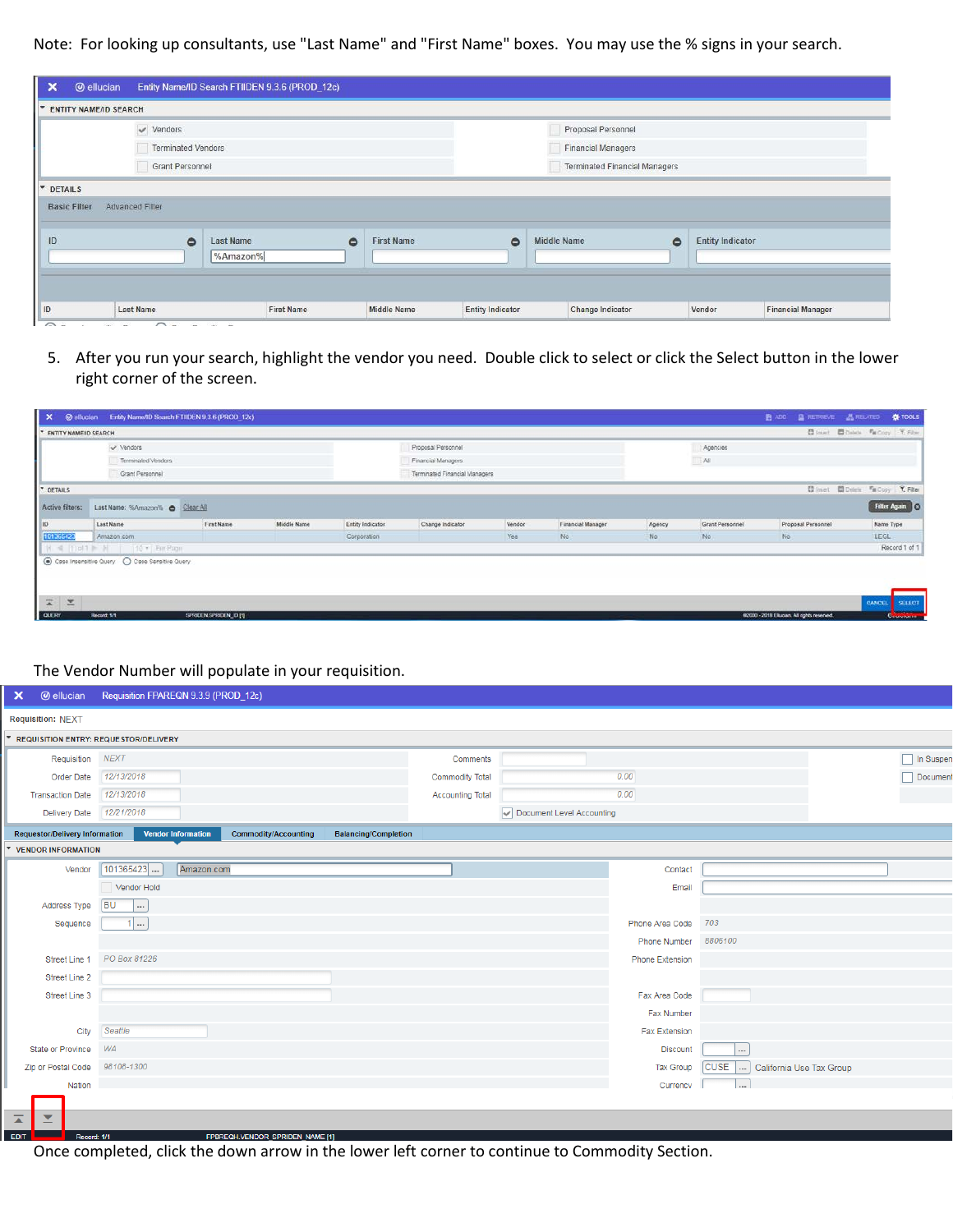Note: For looking up consultants, use "Last Name" and "First Name" boxes. You may use the % signs in your search.

|                           | $\vee$ Vendors                            |                                |           | Proposal Personnel                   |           |                         |  |
|---------------------------|-------------------------------------------|--------------------------------|-----------|--------------------------------------|-----------|-------------------------|--|
|                           | <b>Terminated Vendors</b>                 |                                |           | <b>Financial Managers</b>            |           |                         |  |
|                           | Grant Personnel                           |                                |           | <b>Terminated Financial Managers</b> |           |                         |  |
|                           | Advanced Filter                           |                                |           |                                      |           |                         |  |
| <b>Basic Filter</b><br>ID | $\bullet$<br><b>Last Name</b><br>%Amazon% | $\bullet$<br><b>First Name</b> | $\bullet$ | <b>Middle Name</b>                   | $\bullet$ | <b>Entity Indicator</b> |  |

5. After you run your search, highlight the vendor you need. Double click to select or click the Select button in the lower right corner of the screen.

| <b>* ENTITY NAME/ID SEARCH</b> |                                 |            |             |                         |                               |        |                   |        |                 | <b>C</b> leaset Chalada Fa Copy F. Filter. |             |                  |
|--------------------------------|---------------------------------|------------|-------------|-------------------------|-------------------------------|--------|-------------------|--------|-----------------|--------------------------------------------|-------------|------------------|
|                                | v Vendors                       |            |             |                         | Proposal Personnel            |        |                   |        | Agencies        |                                            |             |                  |
|                                | Terminated Vendors              |            |             |                         | Financial Managers            |        |                   |        | All             |                                            |             |                  |
|                                | Grant Personnel                 |            |             |                         | Terminated Financial Managers |        |                   |        |                 |                                            |             |                  |
| <b>T</b> DETAILS               |                                 |            |             |                         |                               |        |                   |        |                 | □ Intert □ Delete 『m Copy Y. Filter        |             |                  |
| Active filters:                | Last Name: %Amazon% @ Clear All |            |             |                         |                               |        |                   |        |                 |                                            |             | Filter Again   O |
| 1D                             | Last Name                       | First Name | Middle Name | <b>Entity Indicator</b> | Change Indicator              | Vendor | Financial Manager | Agency | Grant Personnel | Proposal Personnel                         | Name Type   |                  |
| 101365423                      | Amazon.com                      |            |             | Corporation             |                               | Yes    | No.               | No:    | No.             | No.                                        | <b>LEGL</b> |                  |
|                                | H 4 Tip 1 H 10 + Par Pape       |            |             |                         |                               |        |                   |        |                 |                                            |             | Record 1 of 1    |

The Vendor Number መመመመ

will populate in your requisition.

| ×                                            | <b>@ ellucian</b> Requisition FPAREQN 9.3.9 (PROD_12c)   |                             |                           |                      |                                   |                  |
|----------------------------------------------|----------------------------------------------------------|-----------------------------|---------------------------|----------------------|-----------------------------------|------------------|
| <b>Requisition: NEXT</b>                     |                                                          |                             |                           |                      |                                   |                  |
| <b>REQUISITION ENTRY: REQUESTOR/DELIVERY</b> |                                                          |                             |                           |                      |                                   |                  |
| Requisition NEXT                             |                                                          | Comments                    |                           |                      |                                   | $\Box$ In Suspen |
| Order Date                                   | 12/13/2018                                               | <b>Commodity Total</b>      |                           | 0.00                 |                                   | Document         |
| <b>Transaction Date</b>                      | 12/13/2018                                               | <b>Accounting Total</b>     |                           | 0.00                 |                                   |                  |
| <b>Delivery Date</b>                         | 12/21/2018                                               |                             | Document Level Accounting |                      |                                   |                  |
| <b>Requestor/Delivery Information</b>        | <b>Vendor Information</b><br><b>Commodity/Accounting</b> | <b>Balancing/Completion</b> |                           |                      |                                   |                  |
| <b>VENDOR INFORMATION</b>                    |                                                          |                             |                           |                      |                                   |                  |
| Vendor                                       | 101365423<br>Amazon.com                                  |                             |                           | Contact              |                                   |                  |
|                                              | Vendor Hold                                              |                             |                           | Email                |                                   |                  |
| Address Type                                 | <b>BU</b><br>$\overline{\phantom{a}}$                    |                             |                           |                      |                                   |                  |
| Sequence                                     | $1$                                                      |                             |                           | Phone Area Code      | 703                               |                  |
|                                              |                                                          |                             |                           | <b>Phone Number</b>  | 8806100                           |                  |
| Street Line 1                                | PO Box 81226                                             |                             |                           | Phone Extension      |                                   |                  |
| Street Line 2                                |                                                          |                             |                           |                      |                                   |                  |
| Street Line 3                                |                                                          |                             |                           | Fax Area Code        |                                   |                  |
|                                              |                                                          |                             |                           | Fax Number           |                                   |                  |
| City                                         | Seattle                                                  |                             |                           | <b>Fax Extension</b> |                                   |                  |
| State or Province                            | WA                                                       |                             |                           | <b>Discount</b>      | $\cdots$                          |                  |
| Zip or Postal Code                           | 98108-1300                                               |                             |                           | <b>Tax Group</b>     | [CUSE  ] California Use Tax Group |                  |
| Nation                                       |                                                          |                             |                           | Currency             | $\cdots$                          |                  |
|                                              |                                                          |                             |                           |                      |                                   |                  |
| $\overline{\blacktriangle}$<br>≍             |                                                          |                             |                           |                      |                                   |                  |
| EDIT  <br>Record: 1/1                        | FPBREQH.VENDOR SPRIDEN NAME [1]                          |                             |                           |                      |                                   |                  |

Once completed, click the down arrow in the lower left corner to continue to Commodity Section.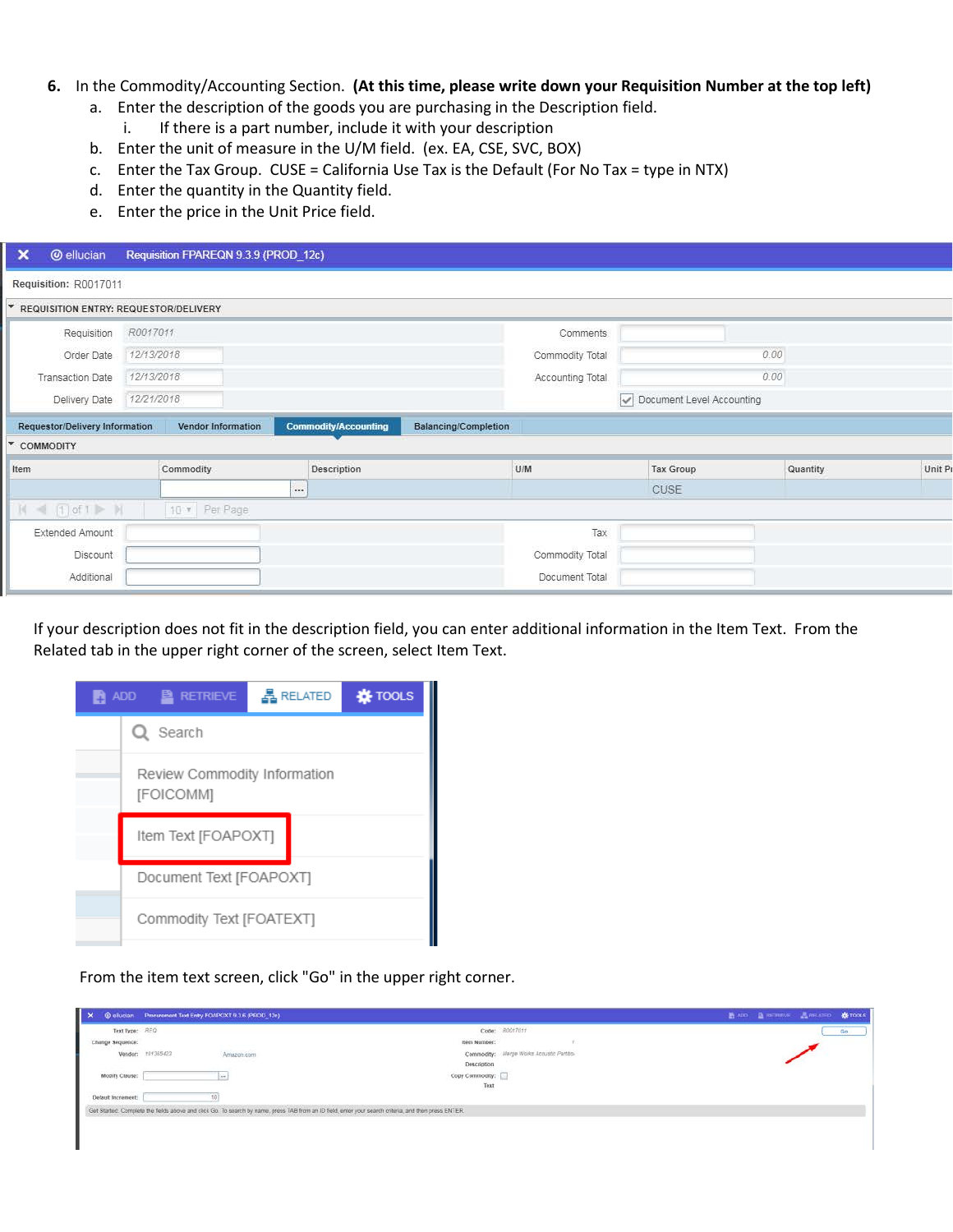## **6.** In the Commodity/Accounting Section. **(At this time, please write down your Requisition Number at the top left)**

- a. Enter the description of the goods you are purchasing in the Description field.
	- i. If there is a part number, include it with your description
- b. Enter the unit of measure in the U/M field. (ex. EA, CSE, SVC, BOX)
- c. Enter the Tax Group. CUSE = California Use Tax is the Default (For No Tax = type in NTX)
- d. Enter the quantity in the Quantity field.
- e. Enter the price in the Unit Price field.

| ×    | <b>@</b> ellucian                     |            | Requisition FPAREQN 9.3.9 (PROD_12c) |      |                             |                             |                  |                  |                           |          |        |
|------|---------------------------------------|------------|--------------------------------------|------|-----------------------------|-----------------------------|------------------|------------------|---------------------------|----------|--------|
|      | Requisition: R0017011                 |            |                                      |      |                             |                             |                  |                  |                           |          |        |
| w.   | REQUISITION ENTRY: REQUESTOR/DELIVERY |            |                                      |      |                             |                             |                  |                  |                           |          |        |
|      | Requisition                           | R0017011   |                                      |      |                             |                             | Comments         |                  |                           |          |        |
|      | Order Date                            | 12/13/2018 |                                      |      |                             |                             | Commodity Total  |                  | 0.00                      |          |        |
|      | <b>Transaction Date</b>               | 12/13/2018 |                                      |      |                             |                             | Accounting Total |                  | 0.00                      |          |        |
|      | Delivery Date                         | 12/21/2018 |                                      |      |                             |                             |                  |                  | Occument Level Accounting |          |        |
|      | <b>Requestor/Delivery Information</b> |            | Vendor Information                   |      | <b>Commodity/Accounting</b> | <b>Balancing/Completion</b> |                  |                  |                           |          |        |
|      | <b>▼ COMMODITY</b>                    |            |                                      |      |                             |                             |                  |                  |                           |          |        |
| Item |                                       |            | Commodity                            |      | Description                 |                             | U/M              | <b>Tax Group</b> |                           | Quantity | Unit P |
|      |                                       |            |                                      | des. |                             |                             |                  | CUSE             |                           |          |        |
|      | $ A  =  T $ of $I \triangleright H$   |            | 10 v Per Page                        |      |                             |                             |                  |                  |                           |          |        |
|      | Extended Amount                       |            |                                      |      |                             |                             | Tax              |                  |                           |          |        |
|      | Discount                              |            |                                      |      |                             |                             | Commodity Total  |                  |                           |          |        |
|      | Additional                            |            |                                      |      |                             |                             | Document Total   |                  |                           |          |        |

If your description does not fit in the description field, you can enter additional information in the Item Text. From the Related tab in the upper right corner of the screen, select Item Text.

| ADD <b>E</b> RETRIEVE                     | <b>RELATED</b> | <b>K</b> TOOLS |
|-------------------------------------------|----------------|----------------|
| Q Search                                  |                |                |
| Review Commodity Information<br>[FOICOMM] |                |                |
| Item Text [FOAPOXT]                       |                |                |
| Document Text [FOAPOXT]                   |                |                |
| Commodity Text [FOATEXT]                  |                |                |

From the item text screen, click "Go" in the upper right corner.

| $\mathbf{X}$       | @ ellucian Procurement Text Entry FOAPOXT 9.3.6 (PROD 12c)                                                                                            |                                          | <b>BADD BRETHEVE</b> AREATED <b>&amp; TOOLS</b> |    |
|--------------------|-------------------------------------------------------------------------------------------------------------------------------------------------------|------------------------------------------|-------------------------------------------------|----|
| Text Type: REQ     |                                                                                                                                                       | Code: R0017011                           |                                                 | do |
| Change Sequence:   |                                                                                                                                                       | item Number:                             |                                                 |    |
| Vendor:            | Amazon.com<br>101365423                                                                                                                               | Commodity: Merge Works Acoustic Partitio |                                                 |    |
|                    | 1999 - A ANGER                                                                                                                                        | Description                              |                                                 |    |
| Modify Clause:     |                                                                                                                                                       | Copy Commodity:                          |                                                 |    |
|                    |                                                                                                                                                       | Text                                     |                                                 |    |
| Default Increment: |                                                                                                                                                       |                                          |                                                 |    |
|                    | Get Started. Complete the fields above and click Go. To search by name, press TAB from an ID field, enter your search criteria, and then press ENTER. |                                          |                                                 |    |
|                    |                                                                                                                                                       |                                          |                                                 |    |
|                    |                                                                                                                                                       |                                          |                                                 |    |
|                    |                                                                                                                                                       |                                          |                                                 |    |
|                    |                                                                                                                                                       |                                          |                                                 |    |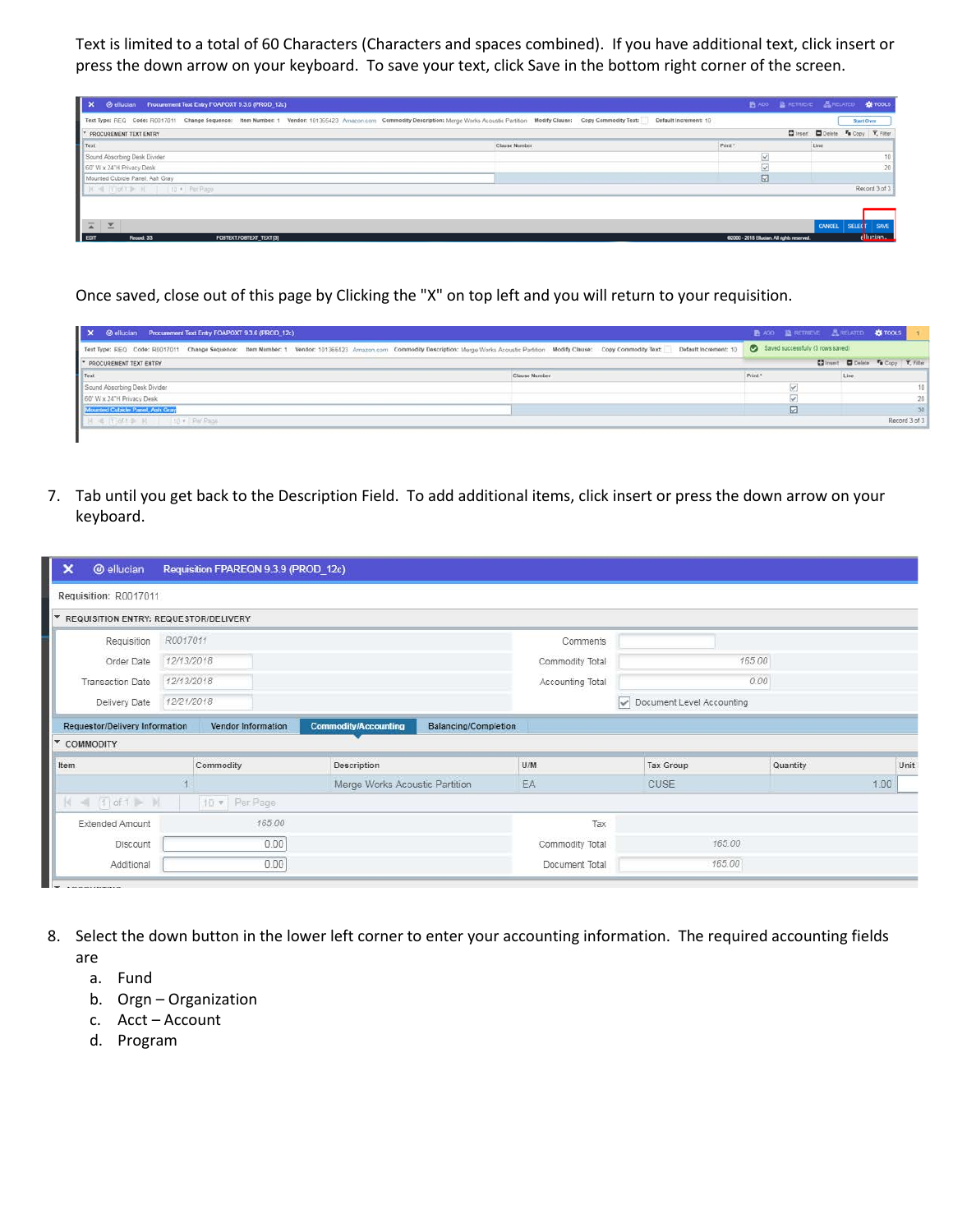Text is limited to a total of 60 Characters (Characters and spaces combined). If you have additional text, click insert or press the down arrow on your keyboard. To save your text, click Save in the bottom right corner of the screen.

| $\mathbf{R}$<br>@ ellucian Procurement Text Entry FOAPOXT 9.3.6 (PROD_12c) |                                                                                                                                                                                                           | 图 ADD 图 RETRIEVE 图 RELATED 查 TOOLS          |        |                                    |
|----------------------------------------------------------------------------|-----------------------------------------------------------------------------------------------------------------------------------------------------------------------------------------------------------|---------------------------------------------|--------|------------------------------------|
|                                                                            | Text Type: REQ Code: R0017011 Change Sequence: Nem Number: 1 Vendor: 101365423 Amazon.com Commodity Description: Merge Works Acoustic Partition Modify Clause: Copy Commodity Text: Default Increment: 10 |                                             |        | <b>Start Over</b>                  |
| <b>T PROCUREMENT TEXT ENTRY</b>                                            |                                                                                                                                                                                                           |                                             |        | Chinen: O Delete Fa Copy T, Filter |
| Text                                                                       | Clause Number                                                                                                                                                                                             | Print <sup>*</sup>                          | Line   |                                    |
| Sound Absorbing Desk Divider                                               |                                                                                                                                                                                                           |                                             |        |                                    |
| 60° W x 24°H Privacy Desk                                                  |                                                                                                                                                                                                           |                                             |        | 20 <sup>1</sup>                    |
| Mounted Cubicle Panel, Ash Gray                                            |                                                                                                                                                                                                           | M                                           |        |                                    |
| <b>CHE IVI of Y 3- 30</b><br>10 · Pet Page                                 |                                                                                                                                                                                                           |                                             |        | Record 3 of 3                      |
|                                                                            |                                                                                                                                                                                                           |                                             |        |                                    |
|                                                                            |                                                                                                                                                                                                           |                                             |        |                                    |
| $\overline{a}$<br>$\overline{\phantom{a}}$                                 |                                                                                                                                                                                                           |                                             | CANCEL | SAVE<br><b>SELECT</b>              |
| EDIT<br>Record: 3/3<br>FOBTEXT FOBTEXT_TEXT [3]                            |                                                                                                                                                                                                           | 62000 - 2018 Ellusian. All rights reserved. |        | <b>Eliunian</b>                    |

Once saved, close out of this page by Clicking the "X" on top left and you will return to your requisition.

| X @ ellucian Procurement Text Entry FOAPOXT 9.3.6 (PROD_12c)                                                                                                                                              |                                     | ■ ADD 鱼 RETRIEVE 品 RELATED 娄 TOOLS |                 |
|-----------------------------------------------------------------------------------------------------------------------------------------------------------------------------------------------------------|-------------------------------------|------------------------------------|-----------------|
| Text Type: REQ Code: R0017011 Change Sequence: Nem Number: 1 Vendor: 101365423 Amazon.com Commodity Description: Merge Works Acoustic Partition Modify Clause: Copy Commodity Text: Default Increment: 10 |                                     | Saved successfully (3 rows saved)  |                 |
| * PROCUREMENT TEXT ENTRY                                                                                                                                                                                  | Chineset C Delete Va Copy Y, Filter |                                    |                 |
| Text                                                                                                                                                                                                      | Clause Number                       | Print <sup>*</sup>                 | Line            |
| Sound Absorbing Desk Divider                                                                                                                                                                              |                                     |                                    | 10 <sub>1</sub> |
| 60" W x 24"H Privacy Desk                                                                                                                                                                                 |                                     |                                    | 20 <sub>1</sub> |
| Mounted Cubicle Panel, Ash Gray                                                                                                                                                                           |                                     |                                    |                 |
| all Fiel t de M  I 10 v Par Paga                                                                                                                                                                          |                                     |                                    | Record 3 of 3   |
|                                                                                                                                                                                                           |                                     |                                    |                 |

7. Tab until you get back to the Description Field. To add additional items, click insert or press the down arrow on your keyboard.

| ×<br><b>@</b> ellucian                                           |            | Requisition FPAREQN 9.3.9 (PROD 12c) |                                                            |                  |                           |          |      |        |  |
|------------------------------------------------------------------|------------|--------------------------------------|------------------------------------------------------------|------------------|---------------------------|----------|------|--------|--|
| Requisition: R0017011                                            |            |                                      |                                                            |                  |                           |          |      |        |  |
| $\overline{\mathbf{v}}$<br>REQUISITION ENTRY: REQUESTOR/DELIVERY |            |                                      |                                                            |                  |                           |          |      |        |  |
| Requisition                                                      | R0017011   |                                      |                                                            | Comments         |                           |          |      |        |  |
| Order Date                                                       | 12/13/2018 |                                      |                                                            | Commodity Total  | 165.00                    |          |      |        |  |
| <b>Transaction Date</b>                                          | 12/13/2018 |                                      |                                                            | Accounting Total |                           | 0.00     |      |        |  |
| Delivery Date                                                    | 12/21/2018 |                                      |                                                            |                  | Document Level Accounting |          |      |        |  |
| <b>Requestor/Delivery Information</b>                            |            | Vendor Information                   | <b>Commodity/Accounting</b><br><b>Balancing/Completion</b> |                  |                           |          |      |        |  |
| $\mathbf{v}$<br>COMMODITY                                        |            |                                      |                                                            |                  |                           |          |      |        |  |
| Item                                                             |            | Commodity                            | Description                                                | U/M              | Tax Group                 | Quantity |      | Unit I |  |
|                                                                  |            |                                      | Merge Works Acoustic Partition                             | EA               | <b>CUSE</b>               |          | 1.00 |        |  |
| $\begin{bmatrix} 4 & -4 & 1 \end{bmatrix}$ of $1 \Rightarrow M$  |            | 10 v Per Page                        |                                                            |                  |                           |          |      |        |  |
| Extended Amount                                                  |            | 165.00                               |                                                            | Tax              |                           |          |      |        |  |
| Discount                                                         |            | 0.00                                 |                                                            | Commodity Total  | 165.00                    |          |      |        |  |
| Additional                                                       |            | 0.00                                 |                                                            | Document Total   | 165.00                    |          |      |        |  |

- 8. Select the down button in the lower left corner to enter your accounting information. The required accounting fields are
	- a. Fund
	- b. Orgn Organization
	- c. Acct Account
	- d. Program